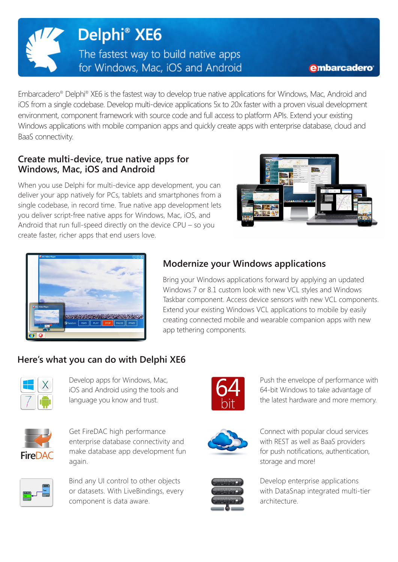

#### embarcadero

Embarcadero® Delphi® XE6 is the fastest way to develop true native applications for Windows, Mac, Android and iOS from a single codebase. Develop multi-device applications 5x to 20x faster with a proven visual development environment, component framework with source code and full access to platform APIs. Extend your existing Windows applications with mobile companion apps and quickly create apps with enterprise database, cloud and BaaS connectivity.

### **Create multi-device, true native apps for Windows, Mac, iOS and Android**

When you use Delphi for multi-device app development, you can deliver your app natively for PCs, tablets and smartphones from a single codebase, in record time. True native app development lets you deliver script-free native apps for Windows, Mac, iOS, and Android that run full-speed directly on the device CPU – so you create faster, richer apps that end users love.





## **Modernize your Windows applications**

Bring your Windows applications forward by applying an updated Windows 7 or 8.1 custom look with new VCL styles and Windows Taskbar component. Access device sensors with new VCL components. Extend your existing Windows VCL applications to mobile by easily creating connected mobile and wearable companion apps with new app tethering components.

# **Here's what you can do with Delphi XE6**



Develop apps for Windows, Mac, iOS and Android using the tools and language you know and trust.



Get FireDAC high performance enterprise database connectivity and make database app development fun again.



Bind any UI control to other objects or datasets. With LiveBindings, every component is data aware.



Push the envelope of performance with 64-bit Windows to take advantage of the latest hardware and more memory.



Connect with popular cloud services with REST as well as BaaS providers for push notifications, authentication, storage and more!



Develop enterprise applications with DataSnap integrated multi-tier architecture.